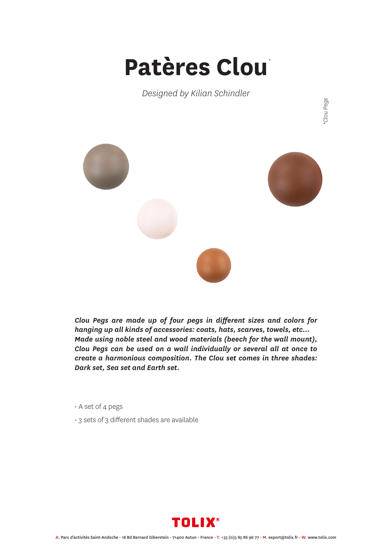## **Patères Clou** *\**

*Designed by Kilian Schindler*



*Clou Pegs are made up of four pegs in different sizes and colors for hanging up all kinds of accessories: coats, hats, scarves, towels, etc… Made using noble steel and wood materials (beech for the wall mount), Clou Pegs can be used on a wall individually or several all at once to create a harmonious composition. The Clou set comes in three shades: Dark set, Sea set and Earth set.*

- A set of 4 pegs
- 3 sets of 3 different shades are available